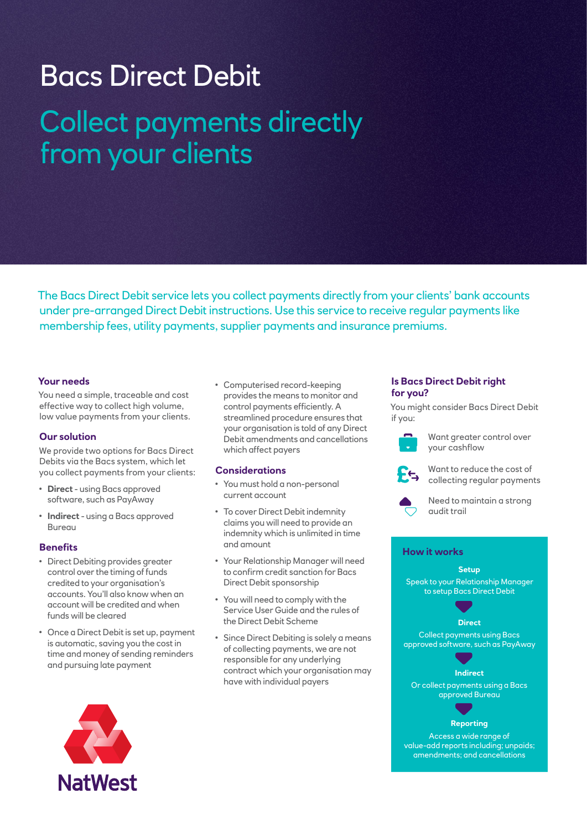# Bacs Direct Debit Collect payments directly from your clients

The Bacs Direct Debit service lets you collect payments directly from your clients' bank accounts under pre-arranged Direct Debit instructions. Use this service to receive regular payments like membership fees, utility payments, supplier payments and insurance premiums.

# **Your needs**

You need a simple, traceable and cost effective way to collect high volume, low value payments from your clients.

# **Our solution**

We provide two options for Bacs Direct Debits via the Bacs system, which let you collect payments from your clients:

- **Direct** using Bacs approved software, such as PayAway
- **Indirect** using a Bacs approved **Bureau**

# **Benefits**

- Direct Debiting provides greater control over the timing of funds credited to your organisation's accounts. You'll also know when an account will be credited and when funds will be cleared
- Once a Direct Debit is set up, payment is automatic, saving you the cost in time and money of sending reminders and pursuing late payment

• Computerised record-keeping provides the means to monitor and control payments efficiently. A streamlined procedure ensures that your organisation is told of any Direct Debit amendments and cancellations which affect payers

# **Considerations**

- You must hold a non-personal current account
- To cover Direct Debit indemnity claims you will need to provide an indemnity which is unlimited in time and amount
- Your Relationship Manager will need to confirm credit sanction for Bacs Direct Debit sponsorship
- You will need to comply with the Service User Guide and the rules of the Direct Debit Scheme
- Since Direct Debiting is solely a means of collecting payments, we are not responsible for any underlying contract which your organisation may have with individual payers

#### **Is Bacs Direct Debit right for you?**

You might consider Bacs Direct Debit if you:



Want greater control over your cashflow



Want to reduce the cost of collecting regular payments



Need to maintain a strong audit trail

# **How it works**

**Setup** Speak to your Relationship Manager to setup Bacs Direct Debit



**Direct**

Collect payments using Bacs approved software, such as PayAway



Or collect payments using a Bacs approved Bureau

# **Reporting**

Access a wide range of value-add reports including; unpaids; amendments; and cancellations